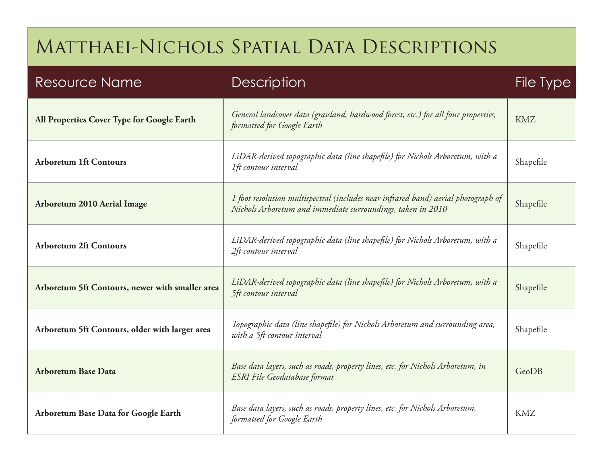| <b>Resource Name</b>                            | <b>Description</b>                                                                                                                                | <b>File Type</b> |
|-------------------------------------------------|---------------------------------------------------------------------------------------------------------------------------------------------------|------------------|
| All Properties Cover Type for Google Earth      | General landcover data (grassland, hardwood forest, etc.) for all four properties,<br>formatted for Google Earth                                  | <b>KMZ</b>       |
| <b>Arboretum 1ft Contours</b>                   | LiDAR-derived topographic data (line shapefile) for Nichols Arboretum, with a<br>1ft contour interval                                             | Shapefile        |
| <b>Arboretum 2010 Aerial Image</b>              | 1 foot resolution multispectral (includes near infrared band) aerial photograph of<br>Nichols Arboretum and immediate surroundings, taken in 2010 | Shapefile        |
| <b>Arboretum 2ft Contours</b>                   | LiDAR-derived topographic data (line shapefile) for Nichols Arboretum, with a<br>2ft contour interval                                             | Shapefile        |
| Arboretum 5ft Contours, newer with smaller area | LiDAR-derived topographic data (line shapefile) for Nichols Arboretum, with a<br>5ft contour interval                                             | Shapefile        |
| Arboretum 5ft Contours, older with larger area  | Topographic data (line shapefile) for Nichols Arboretum and surrounding area,<br>with a 5ft contour interval                                      | Shapefile        |
| <b>Arboretum Base Data</b>                      | Base data layers, such as roads, property lines, etc. for Nichols Arboretum, in<br>ESRI File Geodatabase format                                   | GeoDB            |
| Arboretum Base Data for Google Earth            | Base data layers, such as roads, property lines, etc. for Nichols Arboretum,<br>formatted for Google Earth                                        | <b>KMZ</b>       |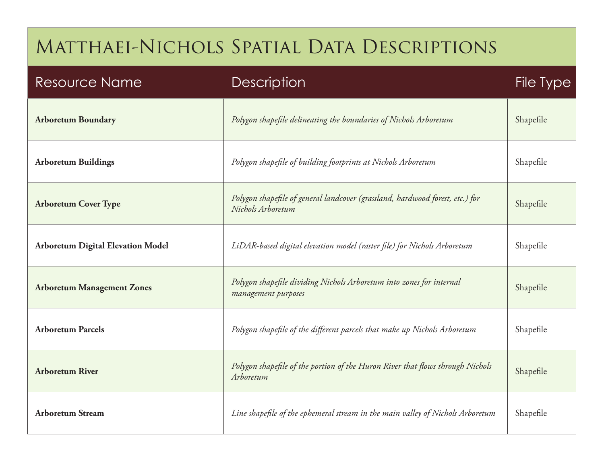| <b>Resource Name</b>                     | <b>Description</b>                                                                                 | File Type |
|------------------------------------------|----------------------------------------------------------------------------------------------------|-----------|
| <b>Arboretum Boundary</b>                | Polygon shapefile delineating the boundaries of Nichols Arboretum                                  | Shapefile |
| <b>Arboretum Buildings</b>               | Polygon shapefile of building footprints at Nichols Arboretum                                      | Shapefile |
| <b>Arboretum Cover Type</b>              | Polygon shapefile of general landcover (grassland, hardwood forest, etc.) for<br>Nichols Arboretum | Shapefile |
| <b>Arboretum Digital Elevation Model</b> | LiDAR-based digital elevation model (raster file) for Nichols Arboretum                            | Shapefile |
| <b>Arboretum Management Zones</b>        | Polygon shapefile dividing Nichols Arboretum into zones for internal<br>management purposes        | Shapefile |
| <b>Arboretum Parcels</b>                 | Polygon shapefile of the different parcels that make up Nichols Arboretum                          | Shapefile |
| <b>Arboretum River</b>                   | Polygon shapefile of the portion of the Huron River that flows through Nichols<br>Arboretum        | Shapefile |
| <b>Arboretum Stream</b>                  | Line shapefile of the ephemeral stream in the main valley of Nichols Arboretum                     | Shapefile |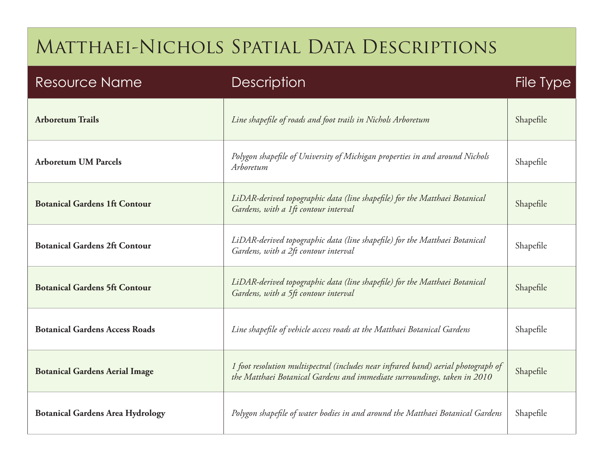| <b>Resource Name</b>                    | <b>Description</b>                                                                                                                                             | <b>File Type</b> |
|-----------------------------------------|----------------------------------------------------------------------------------------------------------------------------------------------------------------|------------------|
| <b>Arboretum Trails</b>                 | Line shapefile of roads and foot trails in Nichols Arboretum                                                                                                   | Shapefile        |
| <b>Arboretum UM Parcels</b>             | Polygon shapefile of University of Michigan properties in and around Nichols<br>Arboretum                                                                      | Shapefile        |
| <b>Botanical Gardens 1ft Contour</b>    | LiDAR-derived topographic data (line shapefile) for the Matthaei Botanical<br>Gardens, with a 1ft contour interval                                             | Shapefile        |
| <b>Botanical Gardens 2ft Contour</b>    | LiDAR-derived topographic data (line shapefile) for the Matthaei Botanical<br>Gardens, with a 2ft contour interval                                             | Shapefile        |
| <b>Botanical Gardens 5ft Contour</b>    | LiDAR-derived topographic data (line shapefile) for the Matthaei Botanical<br>Gardens, with a 5ft contour interval                                             | Shapefile        |
| <b>Botanical Gardens Access Roads</b>   | Line shapefile of vehicle access roads at the Matthaei Botanical Gardens                                                                                       | Shapefile        |
| <b>Botanical Gardens Aerial Image</b>   | 1 foot resolution multispectral (includes near infrared band) aerial photograph of<br>the Matthaei Botanical Gardens and immediate surroundings, taken in 2010 | Shapefile        |
| <b>Botanical Gardens Area Hydrology</b> | Polygon shapefile of water bodies in and around the Matthaei Botanical Gardens                                                                                 | Shapefile        |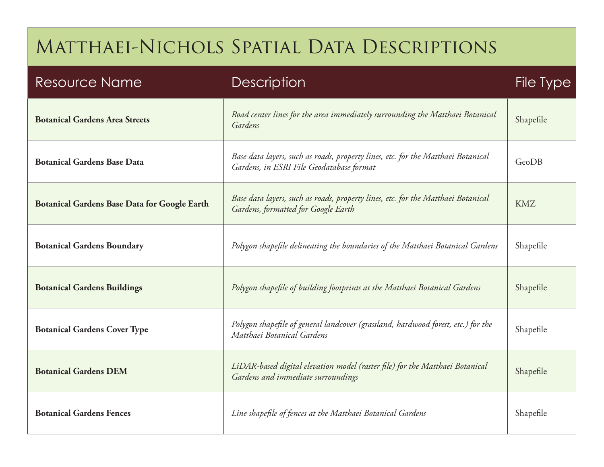| <b>Resource Name</b>                                | <b>Description</b>                                                                                                           | <b>File Type</b> |
|-----------------------------------------------------|------------------------------------------------------------------------------------------------------------------------------|------------------|
| <b>Botanical Gardens Area Streets</b>               | Road center lines for the area immediately surrounding the Matthaei Botanical<br>Gardens                                     | Shapefile        |
| <b>Botanical Gardens Base Data</b>                  | Base data layers, such as roads, property lines, etc. for the Matthaei Botanical<br>Gardens, in ESRI File Geodatabase format | GeoDB            |
| <b>Botanical Gardens Base Data for Google Earth</b> | Base data layers, such as roads, property lines, etc. for the Matthaei Botanical<br>Gardens, formatted for Google Earth      | <b>KMZ</b>       |
| <b>Botanical Gardens Boundary</b>                   | Polygon shapefile delineating the boundaries of the Matthaei Botanical Gardens                                               | Shapefile        |
| <b>Botanical Gardens Buildings</b>                  | Polygon shapefile of building footprints at the Matthaei Botanical Gardens                                                   | Shapefile        |
| <b>Botanical Gardens Cover Type</b>                 | Polygon shapefile of general landcover (grassland, hardwood forest, etc.) for the<br>Matthaei Botanical Gardens              | Shapefile        |
| <b>Botanical Gardens DEM</b>                        | LiDAR-based digital elevation model (raster file) for the Matthaei Botanical<br>Gardens and immediate surroundings           | Shapefile        |
| <b>Botanical Gardens Fences</b>                     | Line shapefile of fences at the Matthaei Botanical Gardens                                                                   | Shapefile        |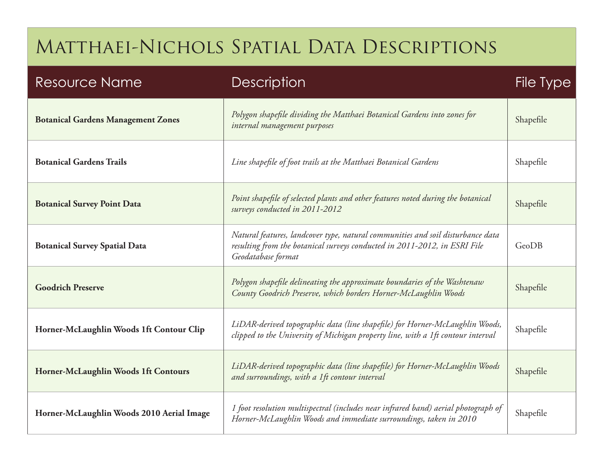| <b>Resource Name</b>                      | <b>Description</b>                                                                                                                                                                 | File Type |
|-------------------------------------------|------------------------------------------------------------------------------------------------------------------------------------------------------------------------------------|-----------|
| <b>Botanical Gardens Management Zones</b> | Polygon shapefile dividing the Matthaei Botanical Gardens into zones for<br>internal management purposes                                                                           | Shapefile |
| <b>Botanical Gardens Trails</b>           | Line shapefile of foot trails at the Matthaei Botanical Gardens                                                                                                                    | Shapefile |
| <b>Botanical Survey Point Data</b>        | Point shapefile of selected plants and other features noted during the botanical<br>surveys conducted in 2011-2012                                                                 | Shapefile |
| <b>Botanical Survey Spatial Data</b>      | Natural features, landcover type, natural communities and soil disturbance data<br>resulting from the botanical surveys conducted in 2011-2012, in ESRI File<br>Geodatabase format | GeoDB     |
| <b>Goodrich Preserve</b>                  | Polygon shapefile delineating the approximate boundaries of the Washtenaw<br>County Goodrich Preserve, which borders Horner-McLaughlin Woods                                       | Shapefile |
| Horner-McLaughlin Woods 1ft Contour Clip  | LiDAR-derived topographic data (line shapefile) for Horner-McLaughlin Woods,<br>clipped to the University of Michigan property line, with a 1ft contour interval                   | Shapefile |
| Horner-McLaughlin Woods 1ft Contours      | LiDAR-derived topographic data (line shapefile) for Horner-McLaughlin Woods<br>and surroundings, with a 1ft contour interval                                                       | Shapefile |
| Horner-McLaughlin Woods 2010 Aerial Image | 1 foot resolution multispectral (includes near infrared band) aerial photograph of<br>Horner-McLaughlin Woods and immediate surroundings, taken in 2010                            | Shapefile |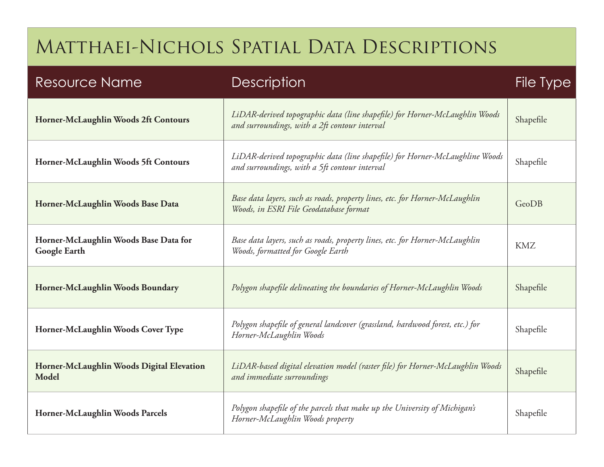| <b>Resource Name</b>                                  | <b>Description</b>                                                                                                            | <b>File Type</b> |
|-------------------------------------------------------|-------------------------------------------------------------------------------------------------------------------------------|------------------|
| Horner-McLaughlin Woods 2ft Contours                  | LiDAR-derived topographic data (line shapefile) for Horner-McLaughlin Woods<br>and surroundings, with a 2ft contour interval  | Shapefile        |
| Horner-McLaughlin Woods 5ft Contours                  | LiDAR-derived topographic data (line shapefile) for Horner-McLaughline Woods<br>and surroundings, with a 5ft contour interval | Shapefile        |
| Horner-McLaughlin Woods Base Data                     | Base data layers, such as roads, property lines, etc. for Horner-McLaughlin<br>Woods, in ESRI File Geodatabase format         | GeoDB            |
| Horner-McLaughlin Woods Base Data for<br>Google Earth | Base data layers, such as roads, property lines, etc. for Horner-McLaughlin<br>Woods, formatted for Google Earth              | <b>KMZ</b>       |
| Horner-McLaughlin Woods Boundary                      | Polygon shapefile delineating the boundaries of Horner-McLaughlin Woods                                                       | Shapefile        |
| Horner-McLaughlin Woods Cover Type                    | Polygon shapefile of general landcover (grassland, hardwood forest, etc.) for<br>Horner-McLaughlin Woods                      | Shapefile        |
| Horner-McLaughlin Woods Digital Elevation<br>Model    | LiDAR-based digital elevation model (raster file) for Horner-McLaughlin Woods<br>and immediate surroundings                   | Shapefile        |
| Horner-McLaughlin Woods Parcels                       | Polygon shapefile of the parcels that make up the University of Michigan's<br>Horner-McLaughlin Woods property                | Shapefile        |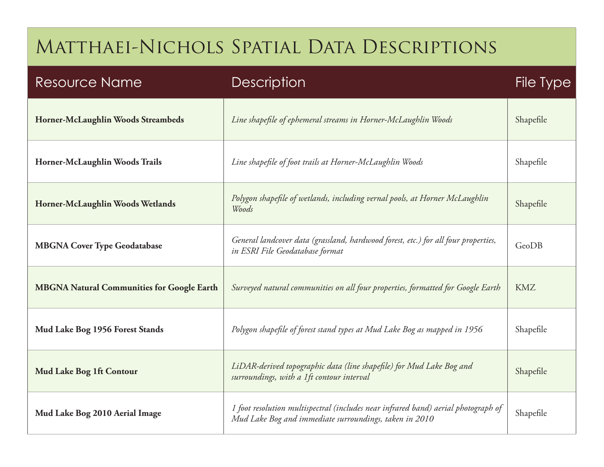| <b>Resource Name</b>                              | <b>Description</b>                                                                                                                           | File Type  |
|---------------------------------------------------|----------------------------------------------------------------------------------------------------------------------------------------------|------------|
| Horner-McLaughlin Woods Streambeds                | Line shapefile of ephemeral streams in Horner-McLaughlin Woods                                                                               | Shapefile  |
| Horner-McLaughlin Woods Trails                    | Line shapefile of foot trails at Horner-McLaughlin Woods                                                                                     | Shapefile  |
| Horner-McLaughlin Woods Wetlands                  | Polygon shapefile of wetlands, including vernal pools, at Horner McLaughlin<br>Woods                                                         | Shapefile  |
| <b>MBGNA Cover Type Geodatabase</b>               | General landcover data (grassland, hardwood forest, etc.) for all four properties,<br>in ESRI File Geodatabase format                        | GeoDB      |
| <b>MBGNA Natural Communities for Google Earth</b> | Surveyed natural communities on all four properties, formatted for Google Earth                                                              | <b>KMZ</b> |
| Mud Lake Bog 1956 Forest Stands                   | Polygon shapefile of forest stand types at Mud Lake Bog as mapped in 1956                                                                    | Shapefile  |
| Mud Lake Bog 1ft Contour                          | LiDAR-derived topographic data (line shapefile) for Mud Lake Bog and<br>surroundings, with a 1ft contour interval                            | Shapefile  |
| Mud Lake Bog 2010 Aerial Image                    | 1 foot resolution multispectral (includes near infrared band) aerial photograph of<br>Mud Lake Bog and immediate surroundings, taken in 2010 | Shapefile  |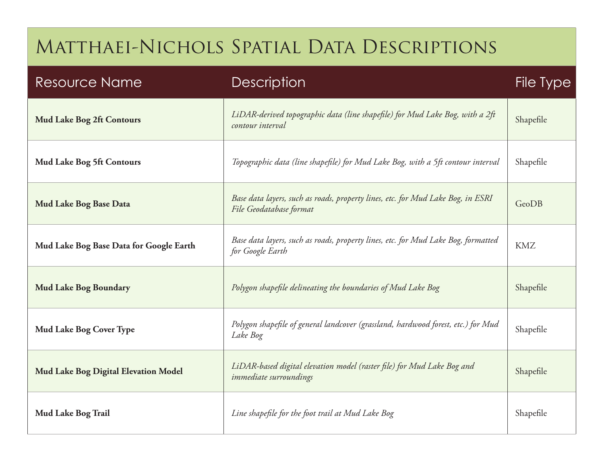| <b>Resource Name</b>                    | <b>Description</b>                                                                                         | File Type  |
|-----------------------------------------|------------------------------------------------------------------------------------------------------------|------------|
| <b>Mud Lake Bog 2ft Contours</b>        | LiDAR-derived topographic data (line shapefile) for Mud Lake Bog, with a 2ft<br>contour interval           | Shapefile  |
| <b>Mud Lake Bog 5ft Contours</b>        | Topographic data (line shapefile) for Mud Lake Bog, with a 5ft contour interval                            | Shapefile  |
| Mud Lake Bog Base Data                  | Base data layers, such as roads, property lines, etc. for Mud Lake Bog, in ESRI<br>File Geodatabase format | GeoDB      |
| Mud Lake Bog Base Data for Google Earth | Base data layers, such as roads, property lines, etc. for Mud Lake Bog, formatted<br>for Google Earth      | <b>KMZ</b> |
| <b>Mud Lake Bog Boundary</b>            | Polygon shapefile delineating the boundaries of Mud Lake Bog                                               | Shapefile  |
| <b>Mud Lake Bog Cover Type</b>          | Polygon shapefile of general landcover (grassland, hardwood forest, etc.) for Mud<br>Lake Bog              | Shapefile  |
| Mud Lake Bog Digital Elevation Model    | LiDAR-based digital elevation model (raster file) for Mud Lake Bog and<br><i>immediate surroundings</i>    | Shapefile  |
| Mud Lake Bog Trail                      | Line shapefile for the foot trail at Mud Lake Bog                                                          | Shapefile  |